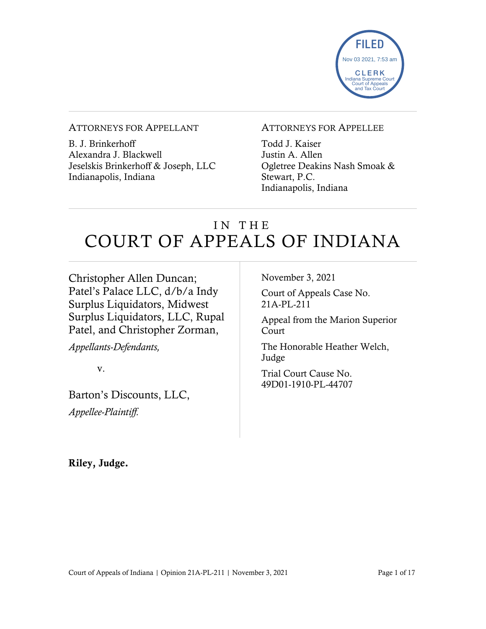

#### ATTORNEYS FOR APPELLANT

B. J. Brinkerhoff Alexandra J. Blackwell Jeselskis Brinkerhoff & Joseph, LLC Indianapolis, Indiana

#### ATTORNEYS FOR APPELLEE

Todd J. Kaiser Justin A. Allen Ogletree Deakins Nash Smoak & Stewart, P.C. Indianapolis, Indiana

# IN THE COURT OF APPEALS OF INDIANA

Christopher Allen Duncan; Patel's Palace LLC, d/b/a Indy Surplus Liquidators, Midwest Surplus Liquidators, LLC, Rupal Patel, and Christopher Zorman,

*Appellants-Defendants,*

v.

Barton's Discounts, LLC, *Appellee-Plaintiff.*

November 3, 2021

Court of Appeals Case No. 21A-PL-211

Appeal from the Marion Superior Court

The Honorable Heather Welch, Judge

Trial Court Cause No. 49D01-1910-PL-44707

Riley, Judge.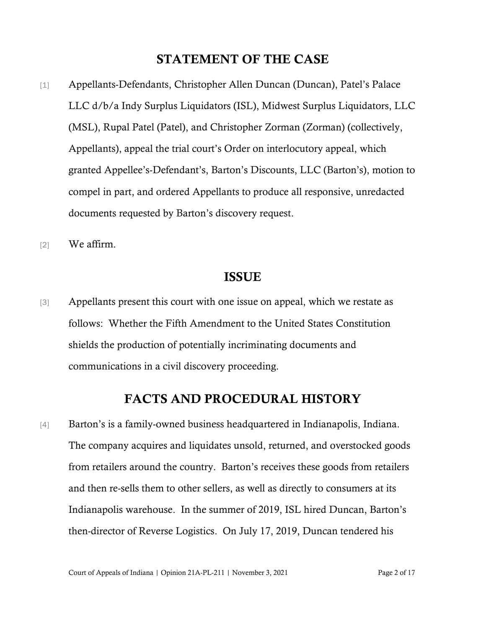### STATEMENT OF THE CASE

- [1] Appellants-Defendants, Christopher Allen Duncan (Duncan), Patel's Palace LLC d/b/a Indy Surplus Liquidators (ISL), Midwest Surplus Liquidators, LLC (MSL), Rupal Patel (Patel), and Christopher Zorman (Zorman) (collectively, Appellants), appeal the trial court's Order on interlocutory appeal, which granted Appellee's-Defendant's, Barton's Discounts, LLC (Barton's), motion to compel in part, and ordered Appellants to produce all responsive, unredacted documents requested by Barton's discovery request.
- [2] We affirm.

### ISSUE

[3] Appellants present this court with one issue on appeal, which we restate as follows: Whether the Fifth Amendment to the United States Constitution shields the production of potentially incriminating documents and communications in a civil discovery proceeding.

### FACTS AND PROCEDURAL HISTORY

[4] Barton's is a family-owned business headquartered in Indianapolis, Indiana. The company acquires and liquidates unsold, returned, and overstocked goods from retailers around the country. Barton's receives these goods from retailers and then re-sells them to other sellers, as well as directly to consumers at its Indianapolis warehouse. In the summer of 2019, ISL hired Duncan, Barton's then-director of Reverse Logistics. On July 17, 2019, Duncan tendered his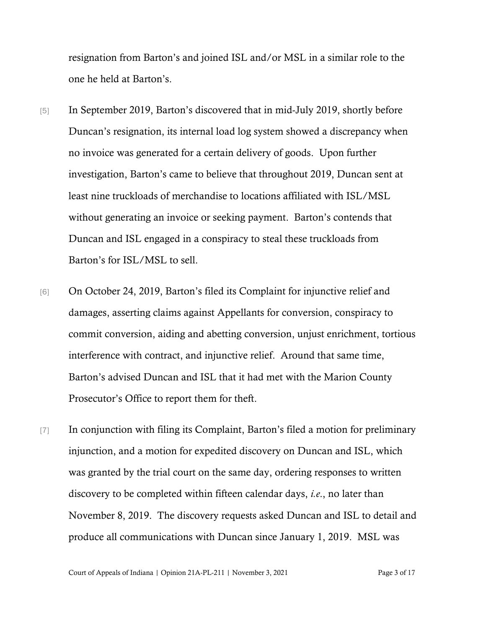resignation from Barton's and joined ISL and/or MSL in a similar role to the one he held at Barton's.

- [5] In September 2019, Barton's discovered that in mid-July 2019, shortly before Duncan's resignation, its internal load log system showed a discrepancy when no invoice was generated for a certain delivery of goods. Upon further investigation, Barton's came to believe that throughout 2019, Duncan sent at least nine truckloads of merchandise to locations affiliated with ISL/MSL without generating an invoice or seeking payment. Barton's contends that Duncan and ISL engaged in a conspiracy to steal these truckloads from Barton's for ISL/MSL to sell.
- [6] On October 24, 2019, Barton's filed its Complaint for injunctive relief and damages, asserting claims against Appellants for conversion, conspiracy to commit conversion, aiding and abetting conversion, unjust enrichment, tortious interference with contract, and injunctive relief. Around that same time, Barton's advised Duncan and ISL that it had met with the Marion County Prosecutor's Office to report them for theft.
- [7] In conjunction with filing its Complaint, Barton's filed a motion for preliminary injunction, and a motion for expedited discovery on Duncan and ISL, which was granted by the trial court on the same day, ordering responses to written discovery to be completed within fifteen calendar days, *i.e*., no later than November 8, 2019. The discovery requests asked Duncan and ISL to detail and produce all communications with Duncan since January 1, 2019. MSL was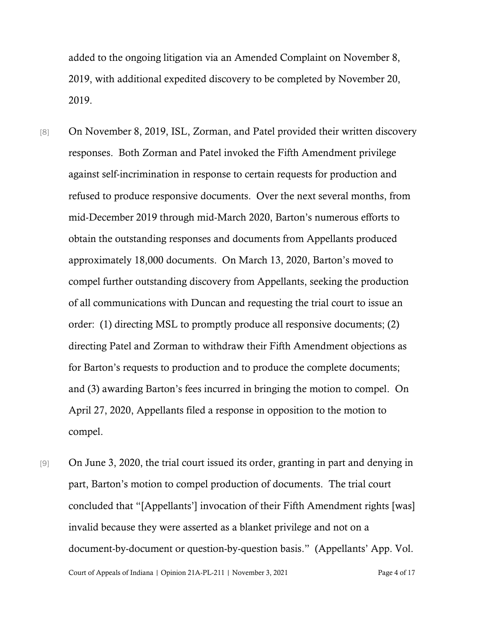added to the ongoing litigation via an Amended Complaint on November 8, 2019, with additional expedited discovery to be completed by November 20, 2019.

- [8] On November 8, 2019, ISL, Zorman, and Patel provided their written discovery responses. Both Zorman and Patel invoked the Fifth Amendment privilege against self-incrimination in response to certain requests for production and refused to produce responsive documents. Over the next several months, from mid-December 2019 through mid-March 2020, Barton's numerous efforts to obtain the outstanding responses and documents from Appellants produced approximately 18,000 documents. On March 13, 2020, Barton's moved to compel further outstanding discovery from Appellants, seeking the production of all communications with Duncan and requesting the trial court to issue an order: (1) directing MSL to promptly produce all responsive documents; (2) directing Patel and Zorman to withdraw their Fifth Amendment objections as for Barton's requests to production and to produce the complete documents; and (3) awarding Barton's fees incurred in bringing the motion to compel. On April 27, 2020, Appellants filed a response in opposition to the motion to compel.
- Court of Appeals of Indiana | Opinion 21A-PL-211 | November 3, 2021 Page 4 of 17 [9] On June 3, 2020, the trial court issued its order, granting in part and denying in part, Barton's motion to compel production of documents. The trial court concluded that "[Appellants'] invocation of their Fifth Amendment rights [was] invalid because they were asserted as a blanket privilege and not on a document-by-document or question-by-question basis." (Appellants' App. Vol.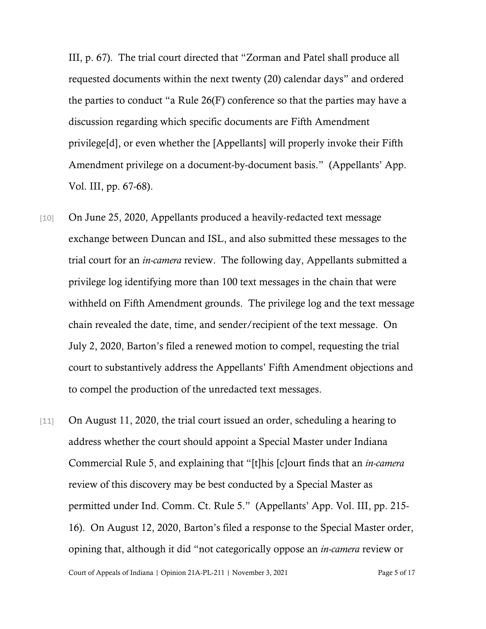III, p. 67). The trial court directed that "Zorman and Patel shall produce all requested documents within the next twenty (20) calendar days" and ordered the parties to conduct "a Rule 26(F) conference so that the parties may have a discussion regarding which specific documents are Fifth Amendment privilege[d], or even whether the [Appellants] will properly invoke their Fifth Amendment privilege on a document-by-document basis." (Appellants' App. Vol. III, pp. 67-68).

- [10] On June 25, 2020, Appellants produced a heavily-redacted text message exchange between Duncan and ISL, and also submitted these messages to the trial court for an *in-camera* review. The following day, Appellants submitted a privilege log identifying more than 100 text messages in the chain that were withheld on Fifth Amendment grounds. The privilege log and the text message chain revealed the date, time, and sender/recipient of the text message. On July 2, 2020, Barton's filed a renewed motion to compel, requesting the trial court to substantively address the Appellants' Fifth Amendment objections and to compel the production of the unredacted text messages.
- [11] On August 11, 2020, the trial court issued an order, scheduling a hearing to address whether the court should appoint a Special Master under Indiana Commercial Rule 5, and explaining that "[t]his [c]ourt finds that an *in-camera* review of this discovery may be best conducted by a Special Master as permitted under Ind. Comm. Ct. Rule 5." (Appellants' App. Vol. III, pp. 215- 16). On August 12, 2020, Barton's filed a response to the Special Master order, opining that, although it did "not categorically oppose an *in-camera* review or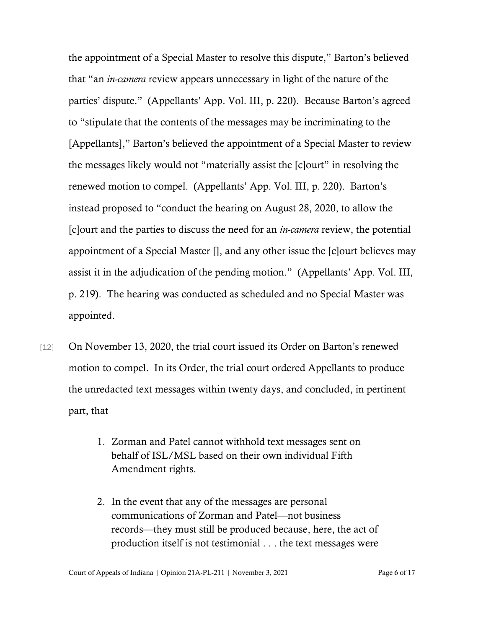the appointment of a Special Master to resolve this dispute," Barton's believed that "an *in-camera* review appears unnecessary in light of the nature of the parties' dispute." (Appellants' App. Vol. III, p. 220). Because Barton's agreed to "stipulate that the contents of the messages may be incriminating to the [Appellants]," Barton's believed the appointment of a Special Master to review the messages likely would not "materially assist the [c]ourt" in resolving the renewed motion to compel. (Appellants' App. Vol. III, p. 220). Barton's instead proposed to "conduct the hearing on August 28, 2020, to allow the [c]ourt and the parties to discuss the need for an *in-camera* review, the potential appointment of a Special Master [], and any other issue the [c]ourt believes may assist it in the adjudication of the pending motion." (Appellants' App. Vol. III, p. 219). The hearing was conducted as scheduled and no Special Master was appointed.

- [12] On November 13, 2020, the trial court issued its Order on Barton's renewed motion to compel. In its Order, the trial court ordered Appellants to produce the unredacted text messages within twenty days, and concluded, in pertinent part, that
	- 1. Zorman and Patel cannot withhold text messages sent on behalf of ISL/MSL based on their own individual Fifth Amendment rights.
	- 2. In the event that any of the messages are personal communications of Zorman and Patel—not business records—they must still be produced because, here, the act of production itself is not testimonial . . . the text messages were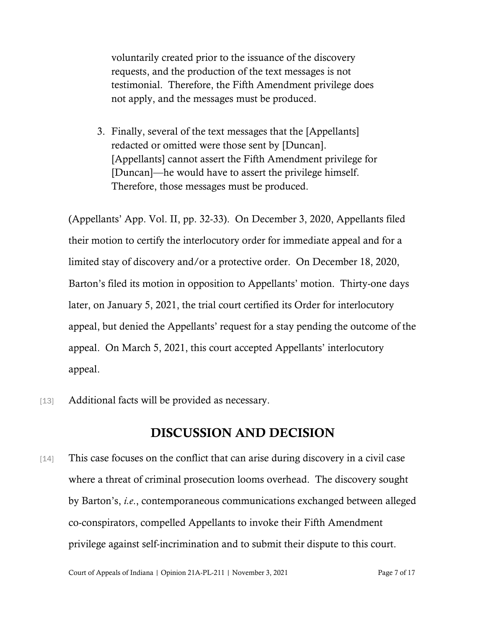voluntarily created prior to the issuance of the discovery requests, and the production of the text messages is not testimonial. Therefore, the Fifth Amendment privilege does not apply, and the messages must be produced.

3. Finally, several of the text messages that the [Appellants] redacted or omitted were those sent by [Duncan]. [Appellants] cannot assert the Fifth Amendment privilege for [Duncan]—he would have to assert the privilege himself. Therefore, those messages must be produced.

(Appellants' App. Vol. II, pp. 32-33). On December 3, 2020, Appellants filed their motion to certify the interlocutory order for immediate appeal and for a limited stay of discovery and/or a protective order. On December 18, 2020, Barton's filed its motion in opposition to Appellants' motion. Thirty-one days later, on January 5, 2021, the trial court certified its Order for interlocutory appeal, but denied the Appellants' request for a stay pending the outcome of the appeal. On March 5, 2021, this court accepted Appellants' interlocutory appeal.

[13] Additional facts will be provided as necessary.

### DISCUSSION AND DECISION

[14] This case focuses on the conflict that can arise during discovery in a civil case where a threat of criminal prosecution looms overhead. The discovery sought by Barton's, *i.e*., contemporaneous communications exchanged between alleged co-conspirators, compelled Appellants to invoke their Fifth Amendment privilege against self-incrimination and to submit their dispute to this court.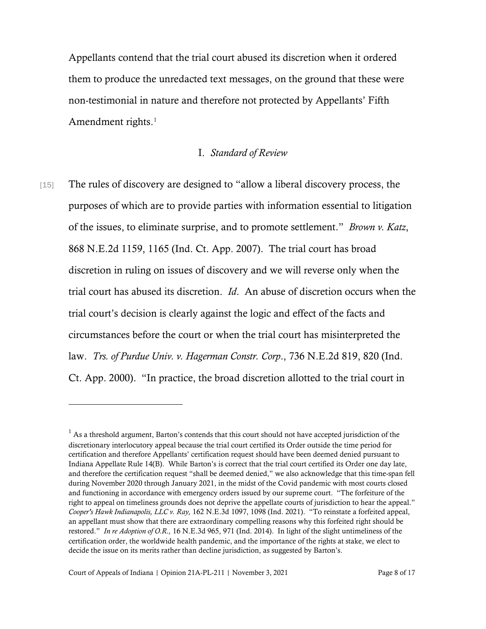Appellants contend that the trial court abused its discretion when it ordered them to produce the unredacted text messages, on the ground that these were non-testimonial in nature and therefore not protected by Appellants' Fifth Amendment rights.<sup>[1](#page-7-0)</sup>

### I. *Standard of Review*

[15] The rules of discovery are designed to "allow a liberal discovery process, the purposes of which are to provide parties with information essential to litigation of the issues, to eliminate surprise, and to promote settlement." *Brown v. Katz*, 868 N.E.2d 1159, 1165 (Ind. Ct. App. 2007). The trial court has broad discretion in ruling on issues of discovery and we will reverse only when the trial court has abused its discretion. *Id*. An abuse of discretion occurs when the trial court's decision is clearly against the logic and effect of the facts and circumstances before the court or when the trial court has misinterpreted the law. *Trs. of Purdue Univ. v. Hagerman Constr. Corp*., 736 N.E.2d 819, 820 (Ind. Ct. App. 2000). "In practice, the broad discretion allotted to the trial court in

<span id="page-7-0"></span> $<sup>1</sup>$  As a threshold argument, Barton's contends that this court should not have accepted jurisdiction of the</sup> discretionary interlocutory appeal because the trial court certified its Order outside the time period for certification and therefore Appellants' certification request should have been deemed denied pursuant to Indiana Appellate Rule 14(B). While Barton's is correct that the trial court certified its Order one day late, and therefore the certification request "shall be deemed denied," we also acknowledge that this time-span fell during November 2020 through January 2021, in the midst of the Covid pandemic with most courts closed and functioning in accordance with emergency orders issued by our supreme court. "The forfeiture of the right to appeal on timeliness grounds does not deprive the appellate courts of jurisdiction to hear the appeal." *Cooper's Hawk Indianapolis, LLC v. Ray,* 162 N.E.3d 1097, 1098 (Ind. 2021). "To reinstate a forfeited appeal, an appellant must show that there are extraordinary compelling reasons why this forfeited right should be restored." *In re Adoption of O.R.,* 16 N.E.3d 965, 971 (Ind. 2014). In light of the slight untimeliness of the certification order, the worldwide health pandemic, and the importance of the rights at stake, we elect to decide the issue on its merits rather than decline jurisdiction, as suggested by Barton's.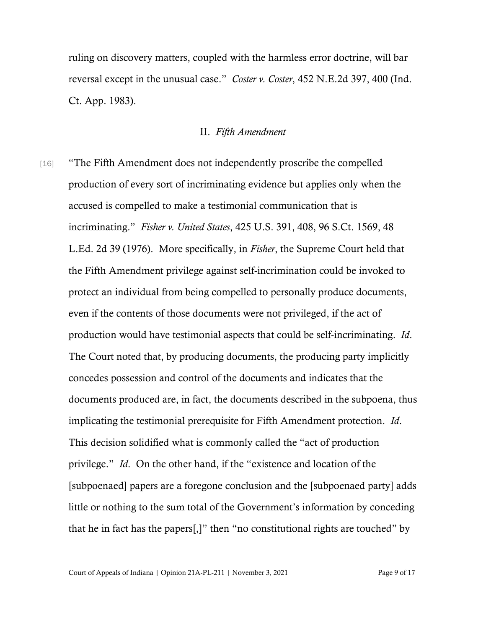ruling on discovery matters, coupled with the harmless error doctrine, will bar reversal except in the unusual case." *Coster v. Coster*, 452 N.E.2d 397, 400 (Ind. Ct. App. 1983).

#### II. *Fifth Amendment*

[16] "The Fifth Amendment does not independently proscribe the compelled production of every sort of incriminating evidence but applies only when the accused is compelled to make a testimonial communication that is incriminating." *Fisher v. United States*, 425 U.S. 391, 408, 96 S.Ct. 1569, 48 L.Ed. 2d 39 (1976). More specifically, in *Fisher*, the Supreme Court held that the Fifth Amendment privilege against self-incrimination could be invoked to protect an individual from being compelled to personally produce documents, even if the contents of those documents were not privileged, if the act of production would have testimonial aspects that could be self-incriminating. *Id*. The Court noted that, by producing documents, the producing party implicitly concedes possession and control of the documents and indicates that the documents produced are, in fact, the documents described in the subpoena, thus implicating the testimonial prerequisite for Fifth Amendment protection. *Id*. This decision solidified what is commonly called the "act of production privilege." *Id*. On the other hand, if the "existence and location of the [subpoenaed] papers are a foregone conclusion and the [subpoenaed party] adds little or nothing to the sum total of the Government's information by conceding that he in fact has the papers[,]" then "no constitutional rights are touched" by

Court of Appeals of Indiana | Opinion 21A-PL-211 | November 3, 2021 Page 9 of 17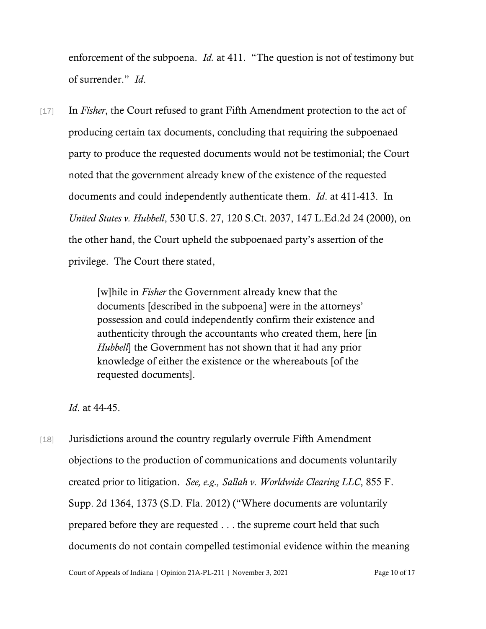enforcement of the subpoena. *Id.* at 411. "The question is not of testimony but of surrender." *Id*.

[17] In *Fisher*, the Court refused to grant Fifth Amendment protection to the act of producing certain tax documents, concluding that requiring the subpoenaed party to produce the requested documents would not be testimonial; the Court noted that the government already knew of the existence of the requested documents and could independently authenticate them. *Id*. at 411-413. In *United States v. Hubbell*, 530 U.S. 27, 120 S.Ct. 2037, 147 L.Ed.2d 24 (2000), on the other hand, the Court upheld the subpoenaed party's assertion of the privilege. The Court there stated,

> [w]hile in *Fisher* the Government already knew that the documents [described in the subpoena] were in the attorneys' possession and could independently confirm their existence and authenticity through the accountants who created them, here [in *Hubbell*] the Government has not shown that it had any prior knowledge of either the existence or the whereabouts [of the requested documents].

*Id*. at 44-45.

[18] Jurisdictions around the country regularly overrule Fifth Amendment objections to the production of communications and documents voluntarily created prior to litigation. *See, e.g., Sallah v. Worldwide Clearing LLC*, 855 F. Supp. 2d 1364, 1373 (S.D. Fla. 2012) ("Where documents are voluntarily prepared before they are requested . . . the supreme court held that such documents do not contain compelled testimonial evidence within the meaning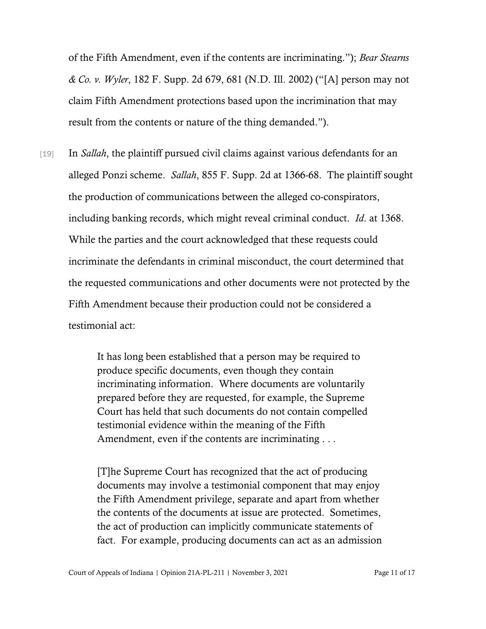of the Fifth Amendment, even if the contents are incriminating."); *Bear Stearns & Co. v. Wyler*, 182 F. Supp. 2d 679, 681 (N.D. Ill. 2002) ("[A] person may not claim Fifth Amendment protections based upon the incrimination that may result from the contents or nature of the thing demanded.").

[19] In *Sallah*, the plaintiff pursued civil claims against various defendants for an alleged Ponzi scheme. *Sallah*, 855 F. Supp. 2d at 1366-68. The plaintiff sought the production of communications between the alleged co-conspirators, including banking records, which might reveal criminal conduct. *Id*. at 1368. While the parties and the court acknowledged that these requests could incriminate the defendants in criminal misconduct, the court determined that the requested communications and other documents were not protected by the Fifth Amendment because their production could not be considered a testimonial act:

> It has long been established that a person may be required to produce specific documents, even though they contain incriminating information. Where documents are voluntarily prepared before they are requested, for example, the Supreme Court has held that such documents do not contain compelled testimonial evidence within the meaning of the Fifth Amendment, even if the contents are incriminating . . .

[T]he Supreme Court has recognized that the act of producing documents may involve a testimonial component that may enjoy the Fifth Amendment privilege, separate and apart from whether the contents of the documents at issue are protected. Sometimes, the act of production can implicitly communicate statements of fact. For example, producing documents can act as an admission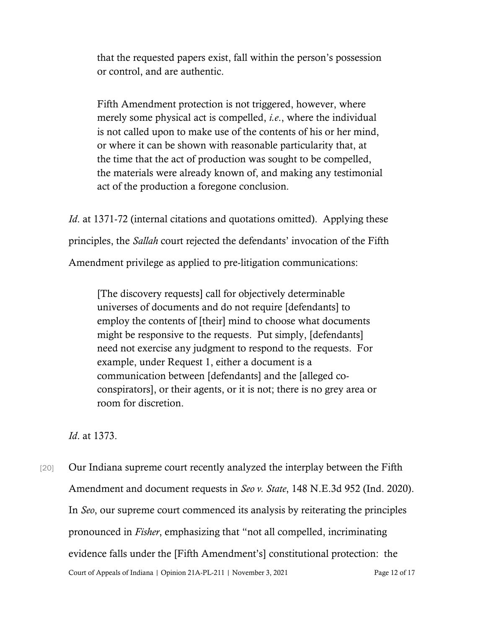that the requested papers exist, fall within the person's possession or control, and are authentic.

Fifth Amendment protection is not triggered, however, where merely some physical act is compelled, *i.e*., where the individual is not called upon to make use of the contents of his or her mind, or where it can be shown with reasonable particularity that, at the time that the act of production was sought to be compelled, the materials were already known of, and making any testimonial act of the production a foregone conclusion.

*Id.* at 1371-72 (internal citations and quotations omitted). Applying these principles, the *Sallah* court rejected the defendants' invocation of the Fifth Amendment privilege as applied to pre-litigation communications:

[The discovery requests] call for objectively determinable universes of documents and do not require [defendants] to employ the contents of [their] mind to choose what documents might be responsive to the requests. Put simply, [defendants] need not exercise any judgment to respond to the requests. For example, under Request 1, either a document is a communication between [defendants] and the [alleged coconspirators], or their agents, or it is not; there is no grey area or room for discretion.

*Id*. at 1373.

Court of Appeals of Indiana | Opinion 21A-PL-211 | November 3, 2021 Page 12 of 17 [20] Our Indiana supreme court recently analyzed the interplay between the Fifth Amendment and document requests in *Seo v. State*, 148 N.E.3d 952 (Ind. 2020). In *Seo*, our supreme court commenced its analysis by reiterating the principles pronounced in *Fisher*, emphasizing that "not all compelled, incriminating evidence falls under the [Fifth Amendment's] constitutional protection: the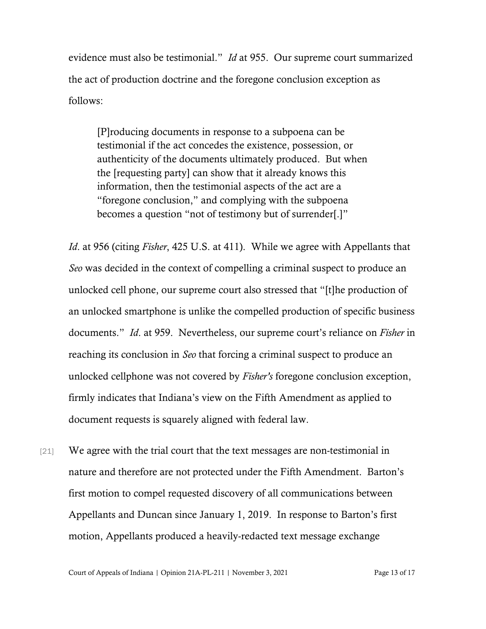evidence must also be testimonial." *Id* at 955. Our supreme court summarized the act of production doctrine and the foregone conclusion exception as follows:

[P]roducing documents in response to a subpoena can be testimonial if the act concedes the existence, possession, or authenticity of the documents ultimately produced. But when the [requesting party] can show that it already knows this information, then the testimonial aspects of the act are a "foregone conclusion," and complying with the subpoena becomes a question "not of testimony but of surrender[.]"

*Id*. at 956 (citing *Fisher*, 425 U.S. at 411). While we agree with Appellants that *Seo* was decided in the context of compelling a criminal suspect to produce an unlocked cell phone, our supreme court also stressed that "[t]he production of an unlocked smartphone is unlike the compelled production of specific business documents." *Id*. at 959. Nevertheless, our supreme court's reliance on *Fisher* in reaching its conclusion in *Seo* that forcing a criminal suspect to produce an unlocked cellphone was not covered by *Fisher's* foregone conclusion exception, firmly indicates that Indiana's view on the Fifth Amendment as applied to document requests is squarely aligned with federal law.

[21] We agree with the trial court that the text messages are non-testimonial in nature and therefore are not protected under the Fifth Amendment. Barton's first motion to compel requested discovery of all communications between Appellants and Duncan since January 1, 2019. In response to Barton's first motion, Appellants produced a heavily-redacted text message exchange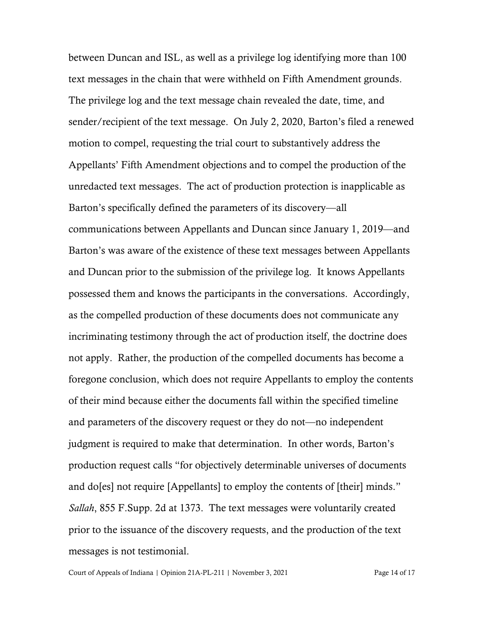between Duncan and ISL, as well as a privilege log identifying more than 100 text messages in the chain that were withheld on Fifth Amendment grounds. The privilege log and the text message chain revealed the date, time, and sender/recipient of the text message. On July 2, 2020, Barton's filed a renewed motion to compel, requesting the trial court to substantively address the Appellants' Fifth Amendment objections and to compel the production of the unredacted text messages. The act of production protection is inapplicable as Barton's specifically defined the parameters of its discovery—all communications between Appellants and Duncan since January 1, 2019—and Barton's was aware of the existence of these text messages between Appellants and Duncan prior to the submission of the privilege log. It knows Appellants possessed them and knows the participants in the conversations. Accordingly, as the compelled production of these documents does not communicate any incriminating testimony through the act of production itself, the doctrine does not apply. Rather, the production of the compelled documents has become a foregone conclusion, which does not require Appellants to employ the contents of their mind because either the documents fall within the specified timeline and parameters of the discovery request or they do not—no independent judgment is required to make that determination. In other words, Barton's production request calls "for objectively determinable universes of documents and do[es] not require [Appellants] to employ the contents of [their] minds." *Sallah*, 855 F.Supp. 2d at 1373. The text messages were voluntarily created prior to the issuance of the discovery requests, and the production of the text messages is not testimonial.

Court of Appeals of Indiana | Opinion 21A-PL-211 | November 3, 2021 Page 14 of 17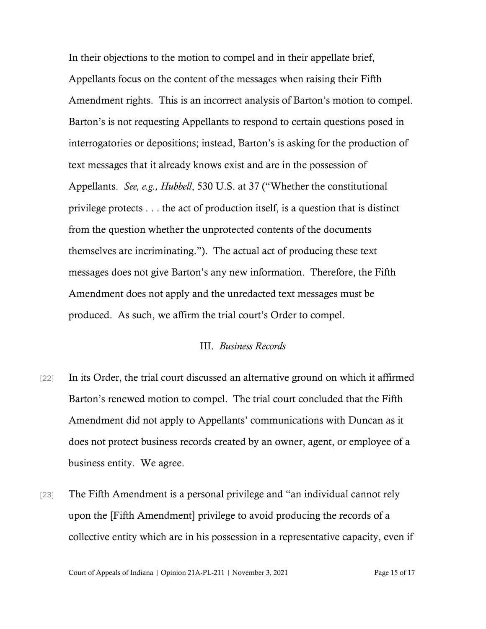In their objections to the motion to compel and in their appellate brief, Appellants focus on the content of the messages when raising their Fifth Amendment rights. This is an incorrect analysis of Barton's motion to compel. Barton's is not requesting Appellants to respond to certain questions posed in interrogatories or depositions; instead, Barton's is asking for the production of text messages that it already knows exist and are in the possession of Appellants. *See, e.g., Hubbell*, 530 U.S. at 37 ("Whether the constitutional privilege protects . . . the act of production itself, is a question that is distinct from the question whether the unprotected contents of the documents themselves are incriminating."). The actual act of producing these text messages does not give Barton's any new information. Therefore, the Fifth Amendment does not apply and the unredacted text messages must be produced. As such, we affirm the trial court's Order to compel.

### III. *Business Records*

- [22] In its Order, the trial court discussed an alternative ground on which it affirmed Barton's renewed motion to compel. The trial court concluded that the Fifth Amendment did not apply to Appellants' communications with Duncan as it does not protect business records created by an owner, agent, or employee of a business entity. We agree.
- [23] The Fifth Amendment is a personal privilege and "an individual cannot rely upon the [Fifth Amendment] privilege to avoid producing the records of a collective entity which are in his possession in a representative capacity, even if

Court of Appeals of Indiana | Opinion 21A-PL-211 | November 3, 2021 Page 15 of 17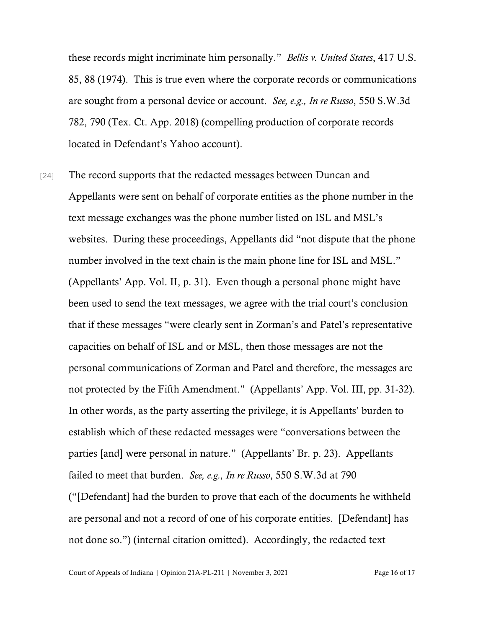these records might incriminate him personally." *Bellis v. United States*, 417 U.S. 85, 88 (1974). This is true even where the corporate records or communications are sought from a personal device or account. *See, e.g., In re Russo*, 550 S.W.3d 782, 790 (Tex. Ct. App. 2018) (compelling production of corporate records located in Defendant's Yahoo account).

[24] The record supports that the redacted messages between Duncan and Appellants were sent on behalf of corporate entities as the phone number in the text message exchanges was the phone number listed on ISL and MSL's websites. During these proceedings, Appellants did "not dispute that the phone number involved in the text chain is the main phone line for ISL and MSL." (Appellants' App. Vol. II, p. 31). Even though a personal phone might have been used to send the text messages, we agree with the trial court's conclusion that if these messages "were clearly sent in Zorman's and Patel's representative capacities on behalf of ISL and or MSL, then those messages are not the personal communications of Zorman and Patel and therefore, the messages are not protected by the Fifth Amendment." (Appellants' App. Vol. III, pp. 31-32). In other words, as the party asserting the privilege, it is Appellants' burden to establish which of these redacted messages were "conversations between the parties [and] were personal in nature." (Appellants' Br. p. 23). Appellants failed to meet that burden. *See, e.g., In re Russo*, 550 S.W.3d at 790 ("[Defendant] had the burden to prove that each of the documents he withheld are personal and not a record of one of his corporate entities. [Defendant] has not done so.") (internal citation omitted). Accordingly, the redacted text